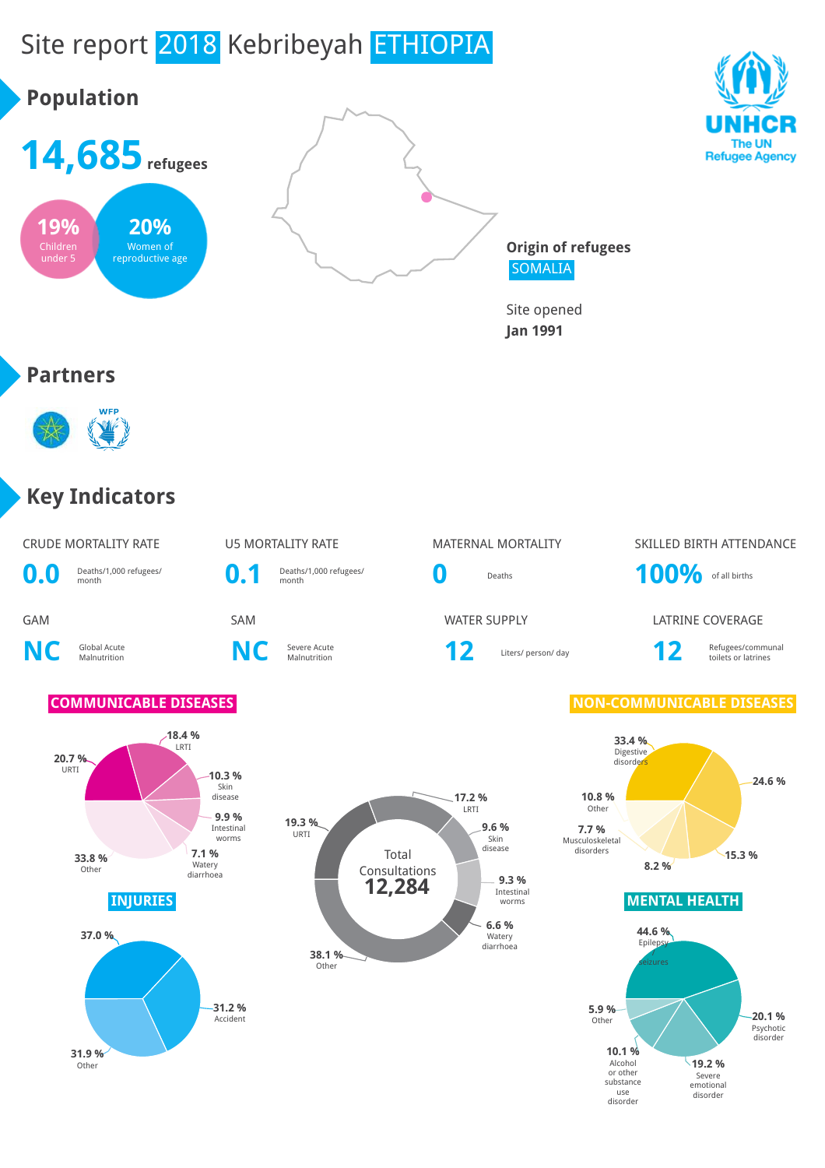# Site report 2018 Kebribeyah ETHIOPIA

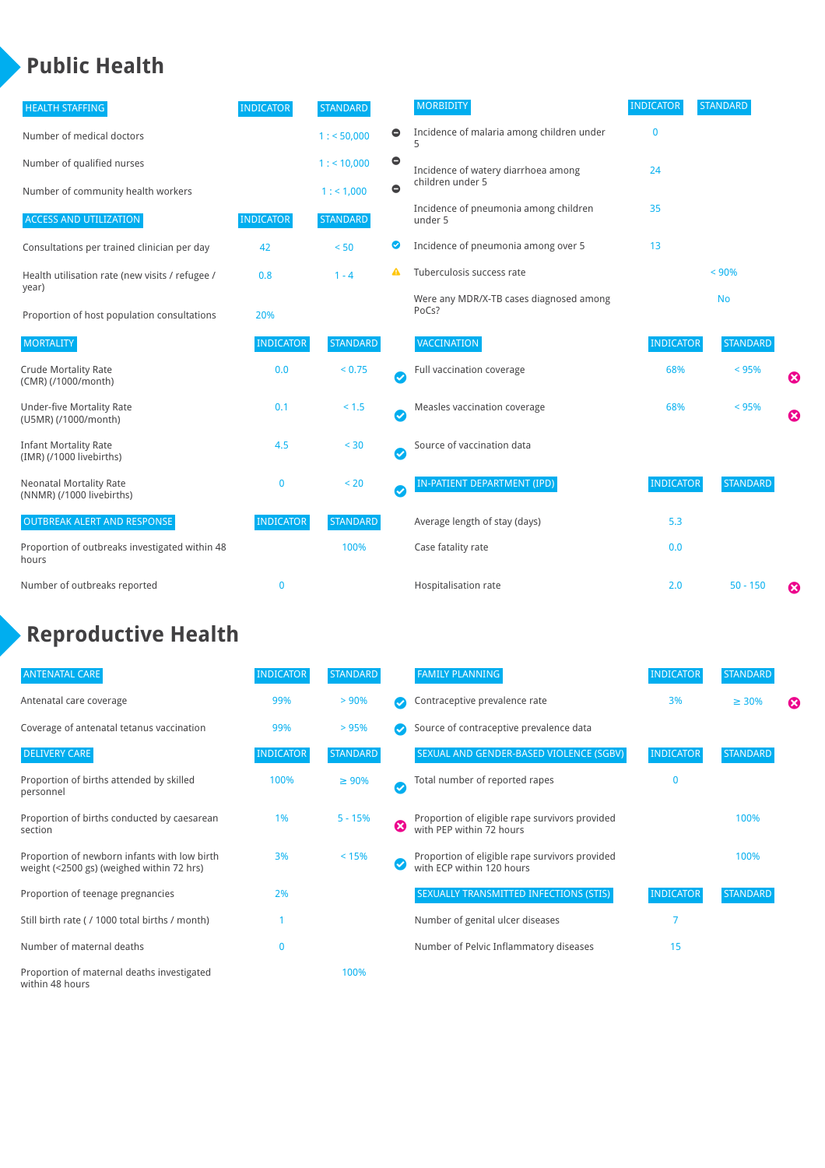### **Public Health**

| <b>HEALTH STAFFING</b>                                      | <b>INDICATOR</b> | <b>STANDARD</b> |           | <b>MORBIDITY</b>                                 | <b>INDICATOR</b> | <b>STANDARD</b> |   |
|-------------------------------------------------------------|------------------|-----------------|-----------|--------------------------------------------------|------------------|-----------------|---|
| Number of medical doctors                                   |                  | 1: 50,000       | $\bullet$ | Incidence of malaria among children under        | $\bf{0}$         |                 |   |
| Number of qualified nurses                                  |                  | 1:10,000        | $\bullet$ | Incidence of watery diarrhoea among              | 24               |                 |   |
| Number of community health workers                          |                  | 1: 1,000        | $\bullet$ | children under 5                                 |                  |                 |   |
| <b>ACCESS AND UTILIZATION</b>                               | <b>INDICATOR</b> | <b>STANDARD</b> |           | Incidence of pneumonia among children<br>under 5 | 35               |                 |   |
| Consultations per trained clinician per day                 | 42               | < 50            | Ø         | Incidence of pneumonia among over 5              | 13               |                 |   |
| Health utilisation rate (new visits / refugee /             | 0.8              | $1 - 4$         | A         | Tuberculosis success rate                        |                  | < 90%           |   |
| year)<br>Proportion of host population consultations        | 20%              |                 |           | Were any MDR/X-TB cases diagnosed among<br>PoCs? |                  | <b>No</b>       |   |
| <b>MORTALITY</b>                                            | <b>INDICATOR</b> | <b>STANDARD</b> |           | <b>VACCINATION</b>                               | <b>INDICATOR</b> | <b>STANDARD</b> |   |
| <b>Crude Mortality Rate</b><br>(CMR) (/1000/month)          | 0.0              | < 0.75          | Ø         | Full vaccination coverage                        | 68%              | < 95%           | Ø |
| <b>Under-five Mortality Rate</b><br>(U5MR) (/1000/month)    | 0.1              | < 1.5           | Ø         | Measles vaccination coverage                     | 68%              | < 95%           | Ø |
| <b>Infant Mortality Rate</b><br>(IMR) (/1000 livebirths)    | 4.5              | < 30            | $\bullet$ | Source of vaccination data                       |                  |                 |   |
| <b>Neonatal Mortality Rate</b><br>(NNMR) (/1000 livebirths) | $\mathbf 0$      | < 20            | $\bullet$ | IN-PATIENT DEPARTMENT (IPD)                      | <b>INDICATOR</b> | <b>STANDARD</b> |   |
| <b>OUTBREAK ALERT AND RESPONSE</b>                          | <b>INDICATOR</b> | <b>STANDARD</b> |           | Average length of stay (days)                    | 5.3              |                 |   |
| Proportion of outbreaks investigated within 48<br>hours     |                  | 100%            |           | Case fatality rate                               | 0.0              |                 |   |
| Number of outbreaks reported                                | $\mathbf{0}$     |                 |           | Hospitalisation rate                             | 2.0              | $50 - 150$      | ೞ |

## **Reproductive Health**

| <b>ANTENATAL CARE</b>                                                                     | <b>INDICATOR</b> | <b>STANDARD</b> |               | <b>FAMILY PLANNING</b>                                                      | <b>INDICATOR</b> | <b>STANDARD</b> |   |
|-------------------------------------------------------------------------------------------|------------------|-----------------|---------------|-----------------------------------------------------------------------------|------------------|-----------------|---|
| Antenatal care coverage                                                                   | 99%              | > 90%           |               | Contraceptive prevalence rate                                               | 3%               | $\geq 30\%$     | ⊠ |
| Coverage of antenatal tetanus vaccination                                                 | 99%              | >95%            |               | Source of contraceptive prevalence data                                     |                  |                 |   |
| <b>DELIVERY CARE</b>                                                                      | <b>INDICATOR</b> | <b>STANDARD</b> |               | SEXUAL AND GENDER-BASED VIOLENCE (SGBV)                                     | <b>INDICATOR</b> | <b>STANDARD</b> |   |
| Proportion of births attended by skilled<br>personnel                                     | 100%             | $\geq 90\%$     | $\bm{\omega}$ | Total number of reported rapes                                              | $\mathbf{0}$     |                 |   |
| Proportion of births conducted by caesarean<br>section                                    | 1%               | $5 - 15%$       | ظ             | Proportion of eligible rape survivors provided<br>with PEP within 72 hours  |                  | 100%            |   |
| Proportion of newborn infants with low birth<br>weight (<2500 gs) (weighed within 72 hrs) | 3%               | < 15%           |               | Proportion of eligible rape survivors provided<br>with ECP within 120 hours |                  | 100%            |   |
| Proportion of teenage pregnancies                                                         | 2%               |                 |               | SEXUALLY TRANSMITTED INFECTIONS (STIS)                                      | <b>INDICATOR</b> | <b>STANDARD</b> |   |
| Still birth rate (/ 1000 total births / month)                                            |                  |                 |               | Number of genital ulcer diseases                                            | 7                |                 |   |
| Number of maternal deaths                                                                 | $\mathbf{0}$     |                 |               | Number of Pelvic Inflammatory diseases                                      | 15               |                 |   |
| Proportion of maternal deaths investigated<br>within 48 hours                             |                  | 100%            |               |                                                                             |                  |                 |   |